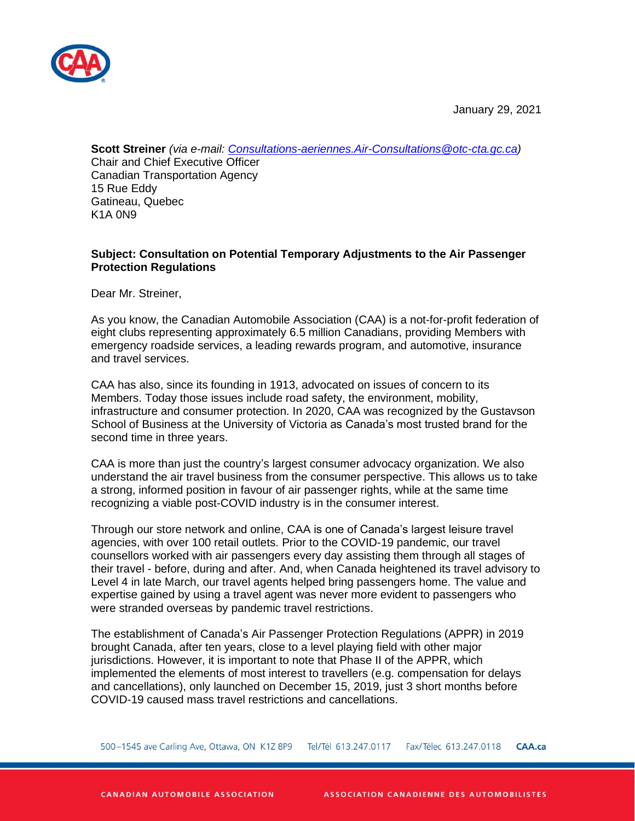

January 29, 2021

**Scott Streiner** *(via e-mail: [Consultations-aeriennes.Air-Consultations@otc-cta.gc.ca\)](mailto:Consultations-aeriennes.Air-Consultations@otc-cta.gc.ca)* Chair and Chief Executive Officer Canadian Transportation Agency 15 Rue Eddy Gatineau, Quebec K1A 0N9

# **Subject: Consultation on Potential Temporary Adjustments to the Air Passenger Protection Regulations**

Dear Mr. Streiner,

As you know, the Canadian Automobile Association (CAA) is a not-for-profit federation of eight clubs representing approximately 6.5 million Canadians, providing Members with emergency roadside services, a leading rewards program, and automotive, insurance and travel services.

CAA has also, since its founding in 1913, advocated on issues of concern to its Members. Today those issues include road safety, the environment, mobility, infrastructure and consumer protection. In 2020, CAA was recognized by the Gustavson School of Business at the University of Victoria as Canada's most trusted brand for the second time in three years.

CAA is more than just the country's largest consumer advocacy organization. We also understand the air travel business from the consumer perspective. This allows us to take a strong, informed position in favour of air passenger rights, while at the same time recognizing a viable post-COVID industry is in the consumer interest.

Through our store network and online, CAA is one of Canada's largest leisure travel agencies, with over 100 retail outlets. Prior to the COVID-19 pandemic, our travel counsellors worked with air passengers every day assisting them through all stages of their travel - before, during and after. And, when Canada heightened its travel advisory to Level 4 in late March, our travel agents helped bring passengers home. The value and expertise gained by using a travel agent was never more evident to passengers who were stranded overseas by pandemic travel restrictions.

The establishment of Canada's Air Passenger Protection Regulations (APPR) in 2019 brought Canada, after ten years, close to a level playing field with other major jurisdictions. However, it is important to note that Phase II of the APPR, which implemented the elements of most interest to travellers (e.g. compensation for delays and cancellations), only launched on December 15, 2019, just 3 short months before COVID-19 caused mass travel restrictions and cancellations.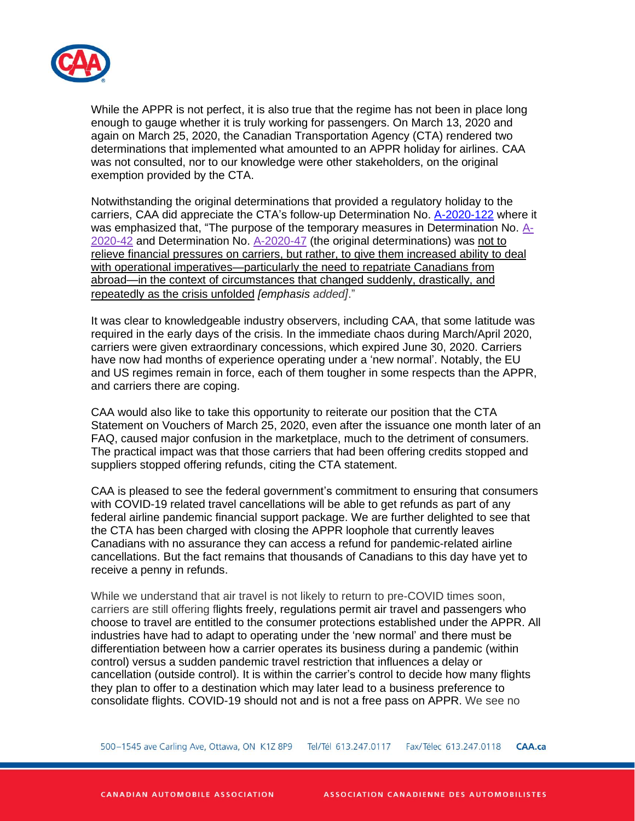

While the APPR is not perfect, it is also true that the regime has not been in place long enough to gauge whether it is truly working for passengers. On March 13, 2020 and again on March 25, 2020, the Canadian Transportation Agency (CTA) rendered two determinations that implemented what amounted to an APPR holiday for airlines. CAA was not consulted, nor to our knowledge were other stakeholders, on the original exemption provided by the CTA.

Notwithstanding the original determinations that provided a regulatory holiday to the carriers, CAA did appreciate the CTA's follow-up Determination No. [A-2020-122](https://otc-cta.gc.ca/eng/ruling/a-2020-122) where it was emphasized that, "The purpose of the temporary measures in Determination No. [A-](https://otc-cta.gc.ca/eng/ruling/a-2020-42)[2020-42](https://otc-cta.gc.ca/eng/ruling/a-2020-42) and Determination No. [A-2020-47](https://otc-cta.gc.ca/eng/ruling/a-2020-47) (the original determinations) was not to relieve financial pressures on carriers, but rather, to give them increased ability to deal with operational imperatives—particularly the need to repatriate Canadians from abroad—in the context of circumstances that changed suddenly, drastically, and repeatedly as the crisis unfolded *[emphasis added]*."

It was clear to knowledgeable industry observers, including CAA, that some latitude was required in the early days of the crisis. In the immediate chaos during March/April 2020, carriers were given extraordinary concessions, which expired June 30, 2020. Carriers have now had months of experience operating under a 'new normal'. Notably, the EU and US regimes remain in force, each of them tougher in some respects than the APPR, and carriers there are coping.

CAA would also like to take this opportunity to reiterate our position that the CTA Statement on Vouchers of March 25, 2020, even after the issuance one month later of an FAQ, caused major confusion in the marketplace, much to the detriment of consumers. The practical impact was that those carriers that had been offering credits stopped and suppliers stopped offering refunds, citing the CTA statement.

CAA is pleased to see the federal government's commitment to ensuring that consumers with COVID-19 related travel cancellations will be able to get refunds as part of any federal airline pandemic financial support package. We are further delighted to see that the CTA has been charged with closing the APPR loophole that currently leaves Canadians with no assurance they can access a refund for pandemic-related airline cancellations. But the fact remains that thousands of Canadians to this day have yet to receive a penny in refunds.

While we understand that air travel is not likely to return to pre-COVID times soon, carriers are still offering flights freely, regulations permit air travel and passengers who choose to travel are entitled to the consumer protections established under the APPR. All industries have had to adapt to operating under the 'new normal' and there must be differentiation between how a carrier operates its business during a pandemic (within control) versus a sudden pandemic travel restriction that influences a delay or cancellation (outside control). It is within the carrier's control to decide how many flights they plan to offer to a destination which may later lead to a business preference to consolidate flights. COVID-19 should not and is not a free pass on APPR. We see no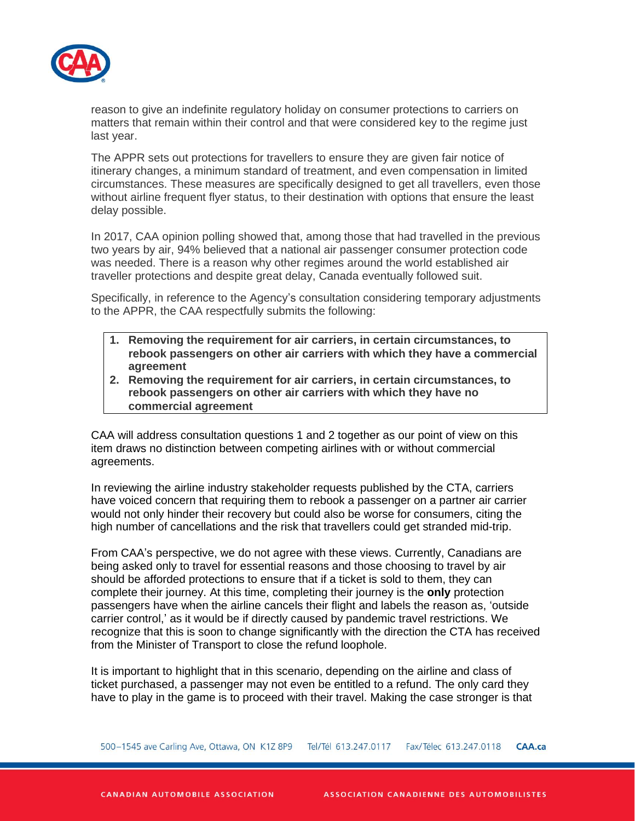

reason to give an indefinite regulatory holiday on consumer protections to carriers on matters that remain within their control and that were considered key to the regime just last year.

The APPR sets out protections for travellers to ensure they are given fair notice of itinerary changes, a minimum standard of treatment, and even compensation in limited circumstances. These measures are specifically designed to get all travellers, even those without airline frequent flyer status, to their destination with options that ensure the least delay possible.

In 2017, CAA opinion polling showed that, among those that had travelled in the previous two years by air, 94% believed that a national air passenger consumer protection code was needed. There is a reason why other regimes around the world established air traveller protections and despite great delay, Canada eventually followed suit.

Specifically, in reference to the Agency's consultation considering temporary adjustments to the APPR, the CAA respectfully submits the following:

- **1. Removing the requirement for air carriers, in certain circumstances, to rebook passengers on other air carriers with which they have a commercial agreement**
- **2. Removing the requirement for air carriers, in certain circumstances, to rebook passengers on other air carriers with which they have no commercial agreement**

CAA will address consultation questions 1 and 2 together as our point of view on this item draws no distinction between competing airlines with or without commercial agreements.

In reviewing the airline industry stakeholder requests published by the CTA, carriers have voiced concern that requiring them to rebook a passenger on a partner air carrier would not only hinder their recovery but could also be worse for consumers, citing the high number of cancellations and the risk that travellers could get stranded mid-trip.

From CAA's perspective, we do not agree with these views. Currently, Canadians are being asked only to travel for essential reasons and those choosing to travel by air should be afforded protections to ensure that if a ticket is sold to them, they can complete their journey. At this time, completing their journey is the **only** protection passengers have when the airline cancels their flight and labels the reason as, 'outside carrier control,' as it would be if directly caused by pandemic travel restrictions. We recognize that this is soon to change significantly with the direction the CTA has received from the Minister of Transport to close the refund loophole.

It is important to highlight that in this scenario, depending on the airline and class of ticket purchased, a passenger may not even be entitled to a refund. The only card they have to play in the game is to proceed with their travel. Making the case stronger is that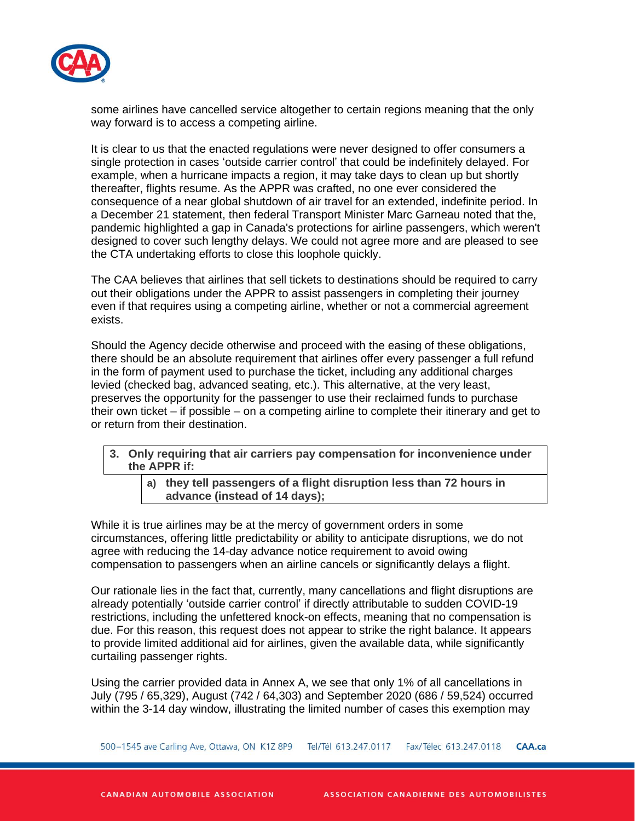

some airlines have cancelled service altogether to certain regions meaning that the only way forward is to access a competing airline.

It is clear to us that the enacted regulations were never designed to offer consumers a single protection in cases 'outside carrier control' that could be indefinitely delayed. For example, when a hurricane impacts a region, it may take days to clean up but shortly thereafter, flights resume. As the APPR was crafted, no one ever considered the consequence of a near global shutdown of air travel for an extended, indefinite period. In a December 21 statement, then federal Transport Minister Marc Garneau noted that the, pandemic highlighted a gap in Canada's protections for airline passengers, which weren't designed to cover such lengthy delays. We could not agree more and are pleased to see the CTA undertaking efforts to close this loophole quickly.

The CAA believes that airlines that sell tickets to destinations should be required to carry out their obligations under the APPR to assist passengers in completing their journey even if that requires using a competing airline, whether or not a commercial agreement exists.

Should the Agency decide otherwise and proceed with the easing of these obligations, there should be an absolute requirement that airlines offer every passenger a full refund in the form of payment used to purchase the ticket, including any additional charges levied (checked bag, advanced seating, etc.). This alternative, at the very least, preserves the opportunity for the passenger to use their reclaimed funds to purchase their own ticket – if possible – on a competing airline to complete their itinerary and get to or return from their destination.

- **3. Only requiring that air carriers pay compensation for inconvenience under the APPR if:**
	- **a) they tell passengers of a flight disruption less than 72 hours in advance (instead of 14 days);**

While it is true airlines may be at the mercy of government orders in some circumstances, offering little predictability or ability to anticipate disruptions, we do not agree with reducing the 14-day advance notice requirement to avoid owing compensation to passengers when an airline cancels or significantly delays a flight.

Our rationale lies in the fact that, currently, many cancellations and flight disruptions are already potentially 'outside carrier control' if directly attributable to sudden COVID-19 restrictions, including the unfettered knock-on effects, meaning that no compensation is due. For this reason, this request does not appear to strike the right balance. It appears to provide limited additional aid for airlines, given the available data, while significantly curtailing passenger rights.

Using the carrier provided data in Annex A, we see that only 1% of all cancellations in July (795 / 65,329), August (742 / 64,303) and September 2020 (686 / 59,524) occurred within the 3-14 day window, illustrating the limited number of cases this exemption may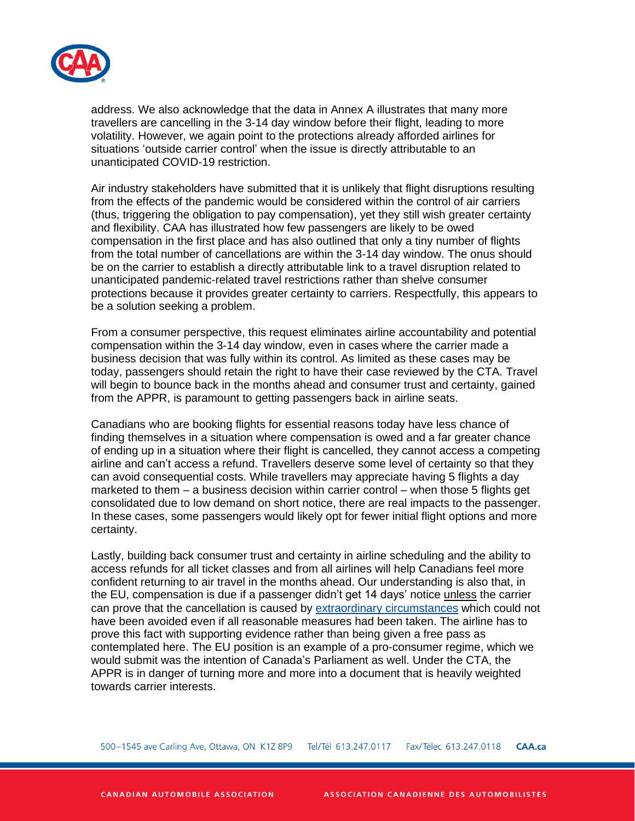

address. We also acknowledge that the data in Annex A illustrates that many more travellers are cancelling in the 3-14 day window before their flight, leading to more volatility. However, we again point to the protections already afforded airlines for situations 'outside carrier control' when the issue is directly attributable to an unanticipated COVID-19 restriction.

Air industry stakeholders have submitted that it is unlikely that flight disruptions resulting from the effects of the pandemic would be considered within the control of air carriers (thus, triggering the obligation to pay compensation), yet they still wish greater certainty and flexibility. CAA has illustrated how few passengers are likely to be owed compensation in the first place and has also outlined that only a tiny number of flights from the total number of cancellations are within the 3-14 day window. The onus should be on the carrier to establish a directly attributable link to a travel disruption related to unanticipated pandemic-related travel restrictions rather than shelve consumer protections because it provides greater certainty to carriers. Respectfully, this appears to be a solution seeking a problem.

From a consumer perspective, this request eliminates airline accountability and potential compensation within the 3-14 day window, even in cases where the carrier made a business decision that was fully within its control. As limited as these cases may be today, passengers should retain the right to have their case reviewed by the CTA. Travel will begin to bounce back in the months ahead and consumer trust and certainty, gained from the APPR, is paramount to getting passengers back in airline seats.

Canadians who are booking flights for essential reasons today have less chance of finding themselves in a situation where compensation is owed and a far greater chance of ending up in a situation where their flight is cancelled, they cannot access a competing airline and can't access a refund. Travellers deserve some level of certainty so that they can avoid consequential costs. While travellers may appreciate having 5 flights a day marketed to them – a business decision within carrier control – when those 5 flights get consolidated due to low demand on short notice, there are real impacts to the passenger. In these cases, some passengers would likely opt for fewer initial flight options and more certainty.

Lastly, building back consumer trust and certainty in airline scheduling and the ability to access refunds for all ticket classes and from all airlines will help Canadians feel more confident returning to air travel in the months ahead. Our understanding is also that, in the EU, compensation is due if a passenger didn't get 14 days' notice unless the carrier can prove that the cancellation is caused by extraordinary [circumstances](https://europa.eu/youreurope/citizens/travel/passenger-rights/air/index_en.htm#ex-circumstances-cancellation-1) which could not have been avoided even if all reasonable measures had been taken. The airline has to prove this fact with supporting evidence rather than being given a free pass as contemplated here. The EU position is an example of a pro-consumer regime, which we would submit was the intention of Canada's Parliament as well. Under the CTA, the APPR is in danger of turning more and more into a document that is heavily weighted towards carrier interests.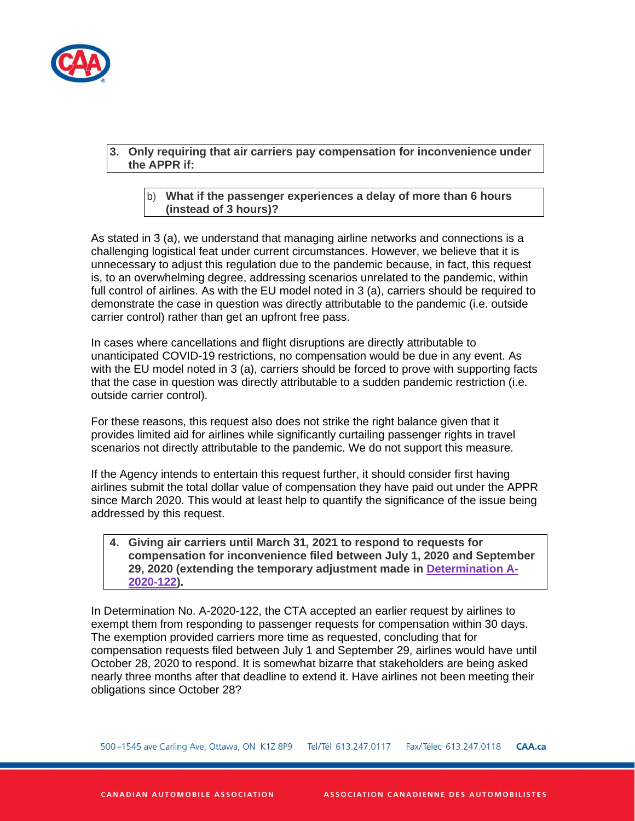

## **3. Only requiring that air carriers pay compensation for inconvenience under the APPR if:**

## b) **What if the passenger experiences a delay of more than 6 hours (instead of 3 hours)?**

As stated in 3 (a), we understand that managing airline networks and connections is a challenging logistical feat under current circumstances. However, we believe that it is unnecessary to adjust this regulation due to the pandemic because, in fact, this request is, to an overwhelming degree, addressing scenarios unrelated to the pandemic, within full control of airlines. As with the EU model noted in 3 (a), carriers should be required to demonstrate the case in question was directly attributable to the pandemic (i.e. outside carrier control) rather than get an upfront free pass.

In cases where cancellations and flight disruptions are directly attributable to unanticipated COVID-19 restrictions, no compensation would be due in any event. As with the EU model noted in 3 (a), carriers should be forced to prove with supporting facts that the case in question was directly attributable to a sudden pandemic restriction (i.e. outside carrier control).

For these reasons, this request also does not strike the right balance given that it provides limited aid for airlines while significantly curtailing passenger rights in travel scenarios not directly attributable to the pandemic. We do not support this measure.

If the Agency intends to entertain this request further, it should consider first having airlines submit the total dollar value of compensation they have paid out under the APPR since March 2020. This would at least help to quantify the significance of the issue being addressed by this request.

## **4. Giving air carriers until March 31, 2021 to respond to requests for compensation for inconvenience filed between July 1, 2020 and September 29, 2020 (extending the temporary adjustment made in [Determination](https://otc-cta.gc.ca/eng/ruling/a-2020-122) [A-](https://otc-cta.gc.ca/eng/ruling/a-2020-122)[2020-122\)](https://otc-cta.gc.ca/eng/ruling/a-2020-122).**

In Determination No. A-2020-122, the CTA accepted an earlier request by airlines to exempt them from responding to passenger requests for compensation within 30 days. The exemption provided carriers more time as requested, concluding that for compensation requests filed between July 1 and September 29, airlines would have until October 28, 2020 to respond. It is somewhat bizarre that stakeholders are being asked nearly three months after that deadline to extend it. Have airlines not been meeting their obligations since October 28?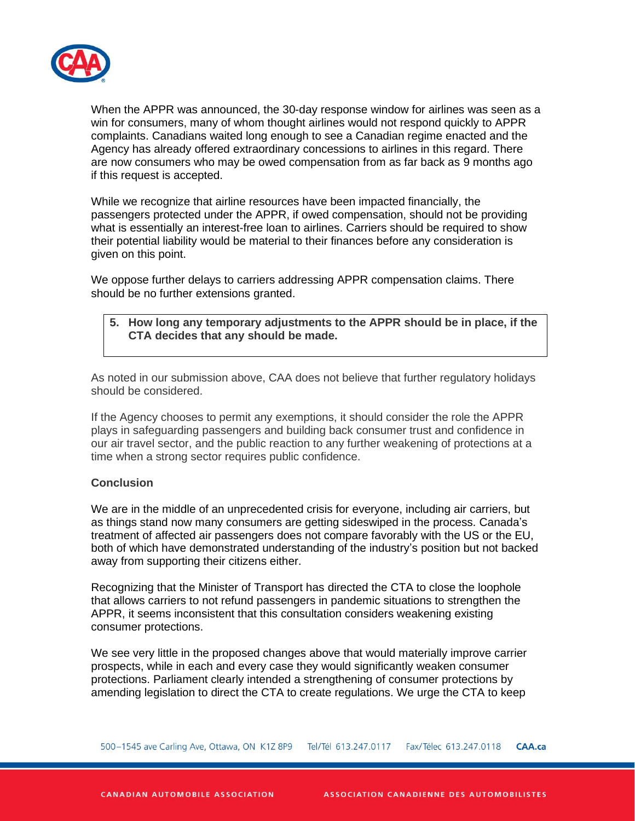

When the APPR was announced, the 30-day response window for airlines was seen as a win for consumers, many of whom thought airlines would not respond quickly to APPR complaints. Canadians waited long enough to see a Canadian regime enacted and the Agency has already offered extraordinary concessions to airlines in this regard. There are now consumers who may be owed compensation from as far back as 9 months ago if this request is accepted.

While we recognize that airline resources have been impacted financially, the passengers protected under the APPR, if owed compensation, should not be providing what is essentially an interest-free loan to airlines. Carriers should be required to show their potential liability would be material to their finances before any consideration is given on this point.

We oppose further delays to carriers addressing APPR compensation claims. There should be no further extensions granted.

# **5. How long any temporary adjustments to the APPR should be in place, if the CTA decides that any should be made.**

As noted in our submission above, CAA does not believe that further regulatory holidays should be considered.

If the Agency chooses to permit any exemptions, it should consider the role the APPR plays in safeguarding passengers and building back consumer trust and confidence in our air travel sector, and the public reaction to any further weakening of protections at a time when a strong sector requires public confidence.

#### **Conclusion**

We are in the middle of an unprecedented crisis for everyone, including air carriers, but as things stand now many consumers are getting sideswiped in the process. Canada's treatment of affected air passengers does not compare favorably with the US or the EU, both of which have demonstrated understanding of the industry's position but not backed away from supporting their citizens either.

Recognizing that the Minister of Transport has directed the CTA to close the loophole that allows carriers to not refund passengers in pandemic situations to strengthen the APPR, it seems inconsistent that this consultation considers weakening existing consumer protections.

We see very little in the proposed changes above that would materially improve carrier prospects, while in each and every case they would significantly weaken consumer protections. Parliament clearly intended a strengthening of consumer protections by amending legislation to direct the CTA to create regulations. We urge the CTA to keep